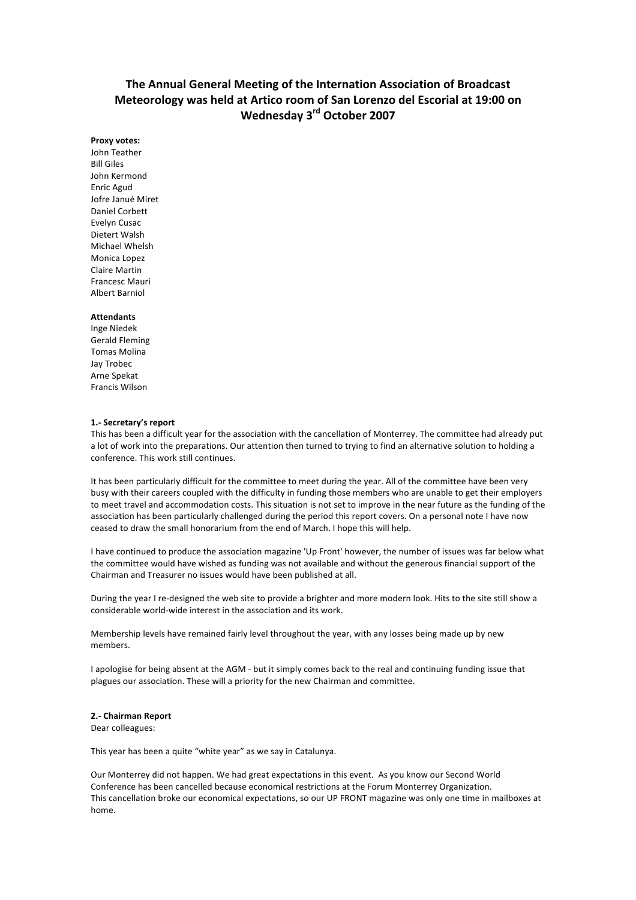# **The Annual General Meeting of the Internation Association of Broadcast Meteorology was held at Artico room of San Lorenzo del Escorial at 19:00 on Wednesday 3rd October 2007**

#### **Proxy votes:**

John Teather **Bill Giles** John Kermond Enric Agud Jofre Janué Miret Daniel Corbett Evelyn Cusac Dietert Walsh Michael Whelsh Monica Lopez Claire Martin Francesc Mauri **Albert Barniol** 

#### **Attendants**

Inge Niedek Gerald Fleming Tomas Molina Jay Trobec Arne Spekat Francis Wilson

#### **1.- Secretary's report**

This has been a difficult year for the association with the cancellation of Monterrey. The committee had already put a lot of work into the preparations. Our attention then turned to trying to find an alternative solution to holding a conference. This work still continues.

It has been particularly difficult for the committee to meet during the year. All of the committee have been very busy with their careers coupled with the difficulty in funding those members who are unable to get their employers to meet travel and accommodation costs. This situation is not set to improve in the near future as the funding of the association has been particularly challenged during the period this report covers. On a personal note I have now ceased to draw the small honorarium from the end of March. I hope this will help.

I have continued to produce the association magazine 'Up Front' however, the number of issues was far below what the committee would have wished as funding was not available and without the generous financial support of the Chairman and Treasurer no issues would have been published at all.

During the year I re-designed the web site to provide a brighter and more modern look. Hits to the site still show a considerable world-wide interest in the association and its work.

Membership levels have remained fairly level throughout the year, with any losses being made up by new members. 

I apologise for being absent at the AGM - but it simply comes back to the real and continuing funding issue that plagues our association. These will a priority for the new Chairman and committee.

#### **2.- Chairman Report**

Dear colleagues:

This year has been a quite "white year" as we say in Catalunya.

Our Monterrey did not happen. We had great expectations in this event. As you know our Second World Conference has been cancelled because economical restrictions at the Forum Monterrey Organization. This cancellation broke our economical expectations, so our UP FRONT magazine was only one time in mailboxes at home.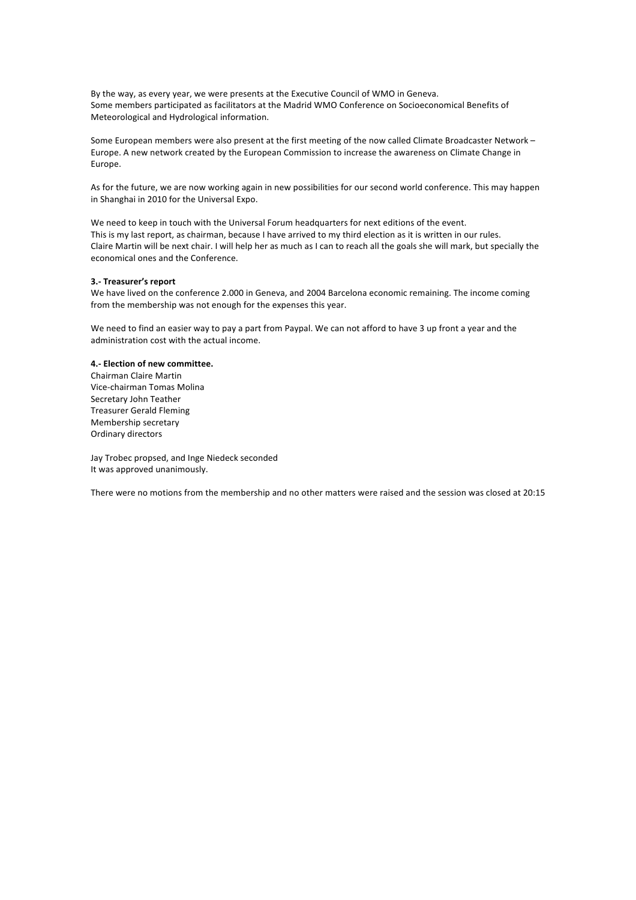By the way, as every year, we were presents at the Executive Council of WMO in Geneva. Some members participated as facilitators at the Madrid WMO Conference on Socioeconomical Benefits of Meteorological and Hydrological information.

Some European members were also present at the first meeting of the now called Climate Broadcaster Network -Europe. A new network created by the European Commission to increase the awareness on Climate Change in Europe. 

As for the future, we are now working again in new possibilities for our second world conference. This may happen in Shanghai in 2010 for the Universal Expo.

We need to keep in touch with the Universal Forum headquarters for next editions of the event. This is my last report, as chairman, because I have arrived to my third election as it is written in our rules. Claire Martin will be next chair. I will help her as much as I can to reach all the goals she will mark, but specially the economical ones and the Conference.

### **3.- Treasurer's report**

We have lived on the conference 2.000 in Geneva, and 2004 Barcelona economic remaining. The income coming from the membership was not enough for the expenses this year.

We need to find an easier way to pay a part from Paypal. We can not afford to have 3 up front a year and the administration cost with the actual income.

# **4.- Election of new committee.**

Chairman Claire Martin Vice-chairman Tomas Molina Secretary John Teather Treasurer Gerald Fleming Membership secretary Ordinary directors

Jay Trobec propsed, and Inge Niedeck seconded It was approved unanimously.

There were no motions from the membership and no other matters were raised and the session was closed at 20:15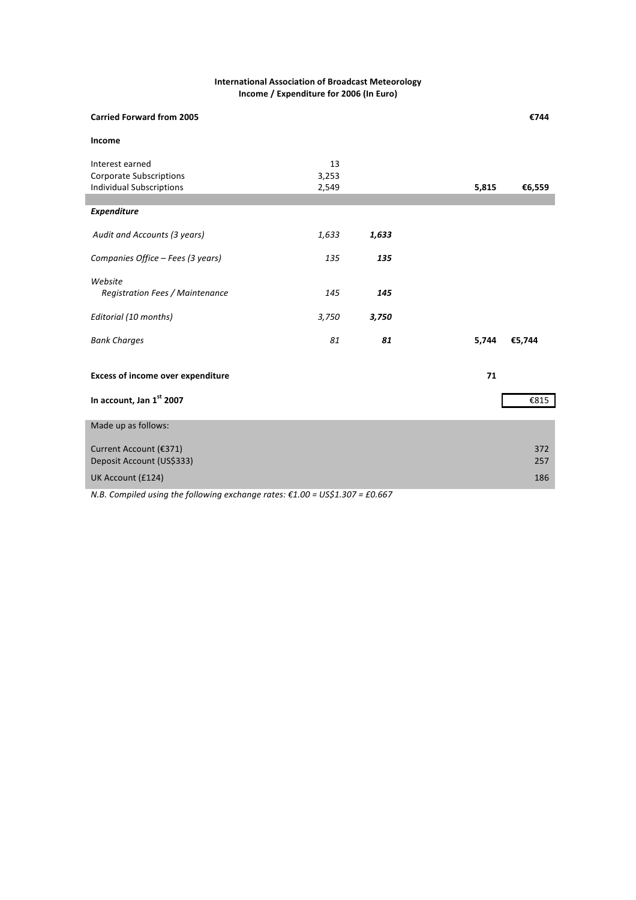# **International Association of Broadcast Meteorology Income / Expenditure for 2006 (In Euro)**

| <b>Carried Forward from 2005</b>         |       |       |       | €744   |
|------------------------------------------|-------|-------|-------|--------|
| Income                                   |       |       |       |        |
| Interest earned                          | 13    |       |       |        |
| <b>Corporate Subscriptions</b>           | 3,253 |       |       |        |
| <b>Individual Subscriptions</b>          | 2,549 |       | 5,815 | €6,559 |
|                                          |       |       |       |        |
| <b>Expenditure</b>                       |       |       |       |        |
| Audit and Accounts (3 years)             | 1,633 | 1,633 |       |        |
| Companies Office - Fees (3 years)        | 135   | 135   |       |        |
| Website                                  |       |       |       |        |
| Registration Fees / Maintenance          | 145   | 145   |       |        |
| Editorial (10 months)                    | 3,750 | 3,750 |       |        |
| <b>Bank Charges</b>                      | 81    | 81    | 5,744 | €5,744 |
| <b>Excess of income over expenditure</b> |       |       | 71    |        |
| In account, Jan 1st 2007                 |       |       |       | €815   |
| Made up as follows:                      |       |       |       |        |
| Current Account (€371)                   |       |       |       | 372    |
| Deposit Account (US\$333)                |       |       |       | 257    |
| UK Account (£124)                        |       |       |       | 186    |
|                                          |       |       |       |        |

*N.B.* Compiled using the following exchange rates: €1.00 = US\$1.307 = £0.667